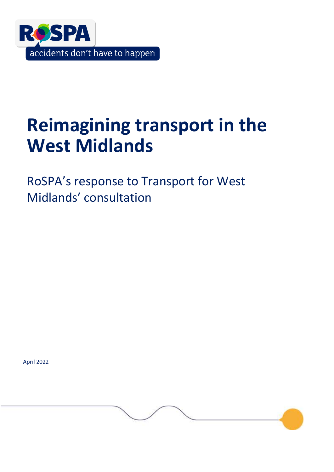

# **Reimagining transport in the West Midlands**

RoSPA's response to Transport for West Midlands' consultation

April 2022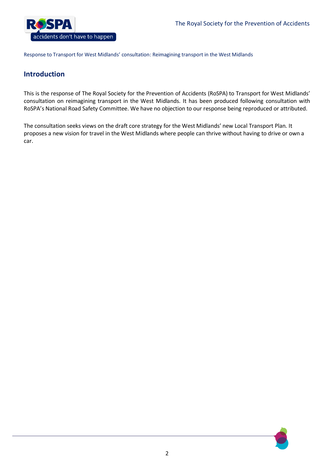

# **Introduction**

This is the response of The Royal Society for the Prevention of Accidents (RoSPA) to Transport for West Midlands' consultation on reimagining transport in the West Midlands. It has been produced following consultation with RoSPA's National Road Safety Committee. We have no objection to our response being reproduced or attributed.

The consultation seeks views on the draft core strategy for the West Midlands' new Local Transport Plan. It proposes a new vision for travel in the West Midlands where people can thrive without having to drive or own a car.

2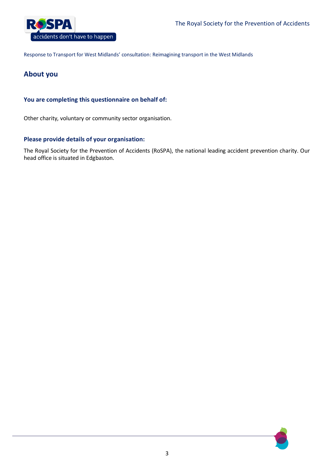

# **About you**

# **You are completing this questionnaire on behalf of:**

Other charity, voluntary or community sector organisation.

# **Please provide details of your organisation:**

The Royal Society for the Prevention of Accidents (RoSPA), the national leading accident prevention charity. Our head office is situated in Edgbaston.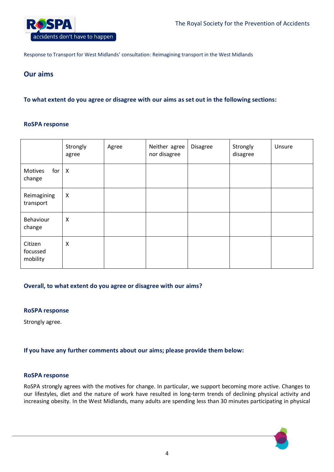

# **Our aims**

# **To what extent do you agree or disagree with our aims as set out in the following sections:**

#### **RoSPA response**

|                                 | Strongly<br>agree         | Agree | Neither agree<br>nor disagree | <b>Disagree</b> | Strongly<br>disagree | Unsure |
|---------------------------------|---------------------------|-------|-------------------------------|-----------------|----------------------|--------|
| for<br>Motives<br>change        | $\boldsymbol{\mathsf{X}}$ |       |                               |                 |                      |        |
| Reimagining<br>transport        | $\boldsymbol{\mathsf{X}}$ |       |                               |                 |                      |        |
| Behaviour<br>change             | X                         |       |                               |                 |                      |        |
| Citizen<br>focussed<br>mobility | X                         |       |                               |                 |                      |        |

# **Overall, to what extent do you agree or disagree with our aims?**

#### **RoSPA response**

Strongly agree.

# **If you have any further comments about our aims; please provide them below:**

#### **RoSPA response**

RoSPA strongly agrees with the motives for change. In particular, we support becoming more active. Changes to our lifestyles, diet and the nature of work have resulted in long-term trends of declining physical activity and increasing obesity. In the West Midlands, many adults are spending less than 30 minutes participating in physical

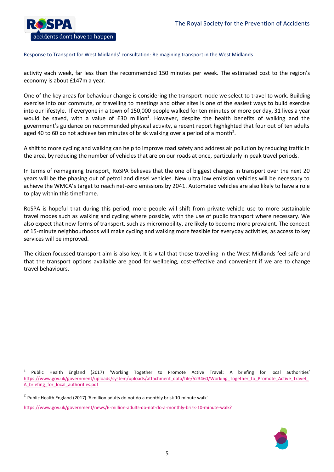

activity each week, far less than the recommended 150 minutes per week. The estimated cost to the region's economy is about £147m a year.

One of the key areas for behaviour change is considering the transport mode we select to travel to work. Building exercise into our commute, or travelling to meetings and other sites is one of the easiest ways to build exercise into our lifestyle. If everyone in a town of 150,000 people walked for ten minutes or more per day, 31 lives a year would be saved, with a value of £30 million<sup>1</sup>. However, despite the health benefits of walking and the government's guidance on recommended physical activity, a recent report highlighted that four out of ten adults aged 40 to 60 do not achieve ten minutes of brisk walking over a period of a month<sup>2</sup>.

A shift to more cycling and walking can help to improve road safety and address air pollution by reducing traffic in the area, by reducing the number of vehicles that are on our roads at once, particularly in peak travel periods.

In terms of reimagining transport, RoSPA believes that the one of biggest changes in transport over the next 20 years will be the phasing out of petrol and diesel vehicles. New ultra low emission vehicles will be necessary to achieve the WMCA's target to reach net-zero emissions by 2041. Automated vehicles are also likely to have a role to play within this timeframe.

RoSPA is hopeful that during this period, more people will shift from private vehicle use to more sustainable travel modes such as walking and cycling where possible, with the use of public transport where necessary. We also expect that new forms of transport, such as micromobility, are likely to become more prevalent. The concept of 15-minute neighbourhoods will make cycling and walking more feasible for everyday activities, as access to key services will be improved.

The citizen focussed transport aim is also key. It is vital that those travelling in the West Midlands feel safe and that the transport options available are good for wellbeing, cost-effective and convenient if we are to change travel behaviours.

 $\overline{a}$ 

<https://www.gov.uk/government/news/6-million-adults-do-not-do-a-monthly-brisk-10-minute-walk?>

<sup>1</sup> Public Health England (2017) 'Working Together to Promote Active Travel**:** A briefing for local authorities' https://www.gov.uk/government/uploads/system/uploads/attachment\_data/file/523460/Working\_Together\_to\_Promote\_Active\_Travel A briefing for local authorities.pdf

<sup>&</sup>lt;sup>2</sup> Public Health England (2017) '6 million adults do not do a monthly brisk 10 minute walk'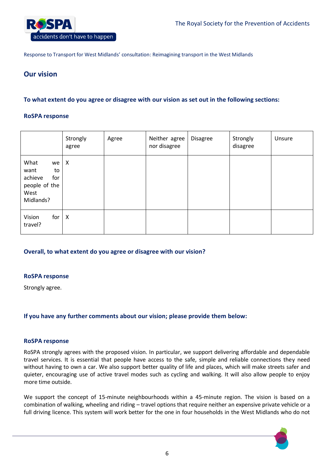

# **Our vision**

# **To what extent do you agree or disagree with our vision as set out in the following sections:**

#### **RoSPA response**

|                                                                                  | Strongly<br>agree         | Agree | Neither agree<br>nor disagree | <b>Disagree</b> | Strongly<br>disagree | Unsure |
|----------------------------------------------------------------------------------|---------------------------|-------|-------------------------------|-----------------|----------------------|--------|
| What<br>we<br>want<br>to<br>achieve<br>for<br>people of the<br>West<br>Midlands? | $\boldsymbol{\mathsf{X}}$ |       |                               |                 |                      |        |
| for<br>Vision<br>travel?                                                         | $\boldsymbol{\mathsf{X}}$ |       |                               |                 |                      |        |

# **Overall, to what extent do you agree or disagree with our vision?**

#### **RoSPA response**

Strongly agree.

# **If you have any further comments about our vision; please provide them below:**

#### **RoSPA response**

RoSPA strongly agrees with the proposed vision. In particular, we support delivering affordable and dependable travel services. It is essential that people have access to the safe, simple and reliable connections they need without having to own a car. We also support better quality of life and places, which will make streets safer and quieter, encouraging use of active travel modes such as cycling and walking. It will also allow people to enjoy more time outside.

We support the concept of 15-minute neighbourhoods within a 45-minute region. The vision is based on a combination of walking, wheeling and riding – travel options that require neither an expensive private vehicle or a full driving licence. This system will work better for the one in four households in the West Midlands who do not

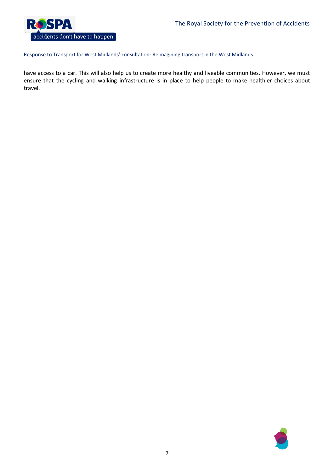

have access to a car. This will also help us to create more healthy and liveable communities. However, we must ensure that the cycling and walking infrastructure is in place to help people to make healthier choices about travel.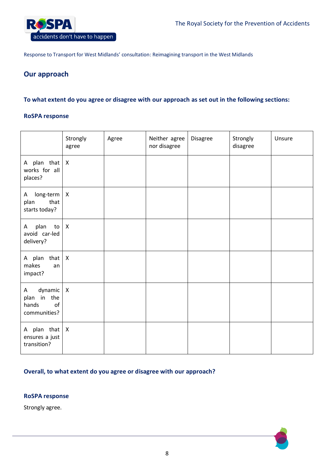

# **Our approach**

## **To what extent do you agree or disagree with our approach as set out in the following sections:**

#### **RoSPA response**

|                                                            | Strongly<br>agree         | Agree | Neither agree<br>nor disagree | Disagree | Strongly<br>disagree | Unsure |
|------------------------------------------------------------|---------------------------|-------|-------------------------------|----------|----------------------|--------|
| A plan that $X$<br>works for all<br>places?                |                           |       |                               |          |                      |        |
| long-term<br>A<br>that<br>plan<br>starts today?            | $\boldsymbol{X}$          |       |                               |          |                      |        |
| plan<br>to<br>A<br>avoid car-led<br>delivery?              | $\boldsymbol{\mathsf{X}}$ |       |                               |          |                      |        |
| A plan that<br>makes<br>an<br>impact?                      | $\mathsf{X}$              |       |                               |          |                      |        |
| dynamic<br>Α<br>plan in the<br>hands<br>of<br>communities? | $\boldsymbol{X}$          |       |                               |          |                      |        |
| A plan that<br>ensures a just<br>transition?               | $\mathsf{X}$              |       |                               |          |                      |        |

## **Overall, to what extent do you agree or disagree with our approach?**

#### **RoSPA response**

Strongly agree.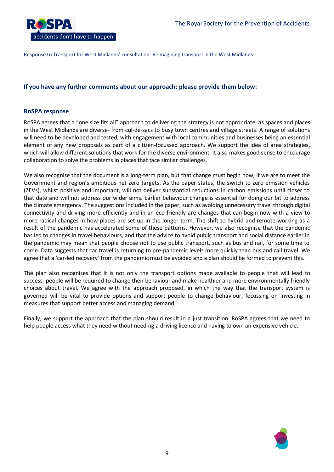

#### **If you have any further comments about our approach; please provide them below:**

#### **RoSPA response**

RoSPA agrees that a "one size fits all" approach to delivering the strategy is not appropriate, as spaces and places in the West Midlands are diverse- from cul-de-sacs to busy town centres and village streets. A range of solutions will need to be developed and tested, with engagement with local communities and businesses being an essential element of any new proposals as part of a citizen-focussed approach. We support the idea of area strategies, which will allow different solutions that work for the diverse environment. It also makes good sense to encourage collaboration to solve the problems in places that face similar challenges.

We also recognise that the document is a long-term plan, but that change must begin now, if we are to meet the Government and region's ambitious net zero targets. As the paper states, the switch to zero emission vehicles (ZEVs), whilst positive and important, will not deliver substantial reductions in carbon emissions until closer to that date and will not address our wider aims. Earlier behaviour change is essential for doing our bit to address the climate emergency. The suggestions included in the paper, such as avoiding unnecessary travel through digital connectivity and driving more efficiently and in an eco-friendly are changes that can begin now with a view to more radical changes in how places are set up in the longer term. The shift to hybrid and remote working as a result of the pandemic has accelerated some of these patterns. However, we also recognise that the pandemic has led to changes in travel behaviours, and that the advice to avoid public transport and social distance earlier in the pandemic may mean that people choose not to use public transport, such as bus and rail, for some time to come. Data suggests that car travel is returning to pre-pandemic levels more quickly than bus and rail travel. We agree that a 'car-led recovery' from the pandemic must be avoided and a plan should be formed to prevent this.

The plan also recognises that it is not only the transport options made available to people that will lead to success- people will be required to change their behaviour and make healthier and more environmentally friendly choices about travel. We agree with the approach proposed, in which the way that the transport system is governed will be vital to provide options and support people to change behaviour, focussing on investing in measures that support better access and managing demand.

Finally, we support the approach that the plan should result in a just transition. RoSPA agrees that we need to help people access what they need without needing a driving licence and having to own an expensive vehicle.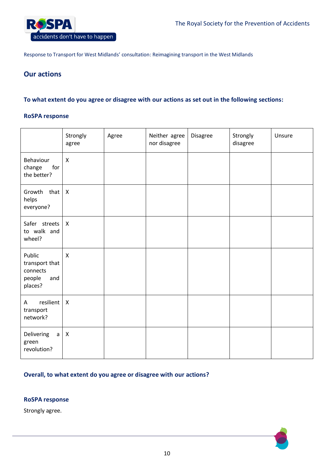

# **Our actions**

## **To what extent do you agree or disagree with our actions as set out in the following sections:**

#### **RoSPA response**

|                                                                  | Strongly<br>agree         | Agree | Neither agree<br>nor disagree | Disagree | Strongly<br>disagree | Unsure |
|------------------------------------------------------------------|---------------------------|-------|-------------------------------|----------|----------------------|--------|
| Behaviour<br>change<br>for<br>the better?                        | $\boldsymbol{\mathsf{X}}$ |       |                               |          |                      |        |
| Growth that<br>helps<br>everyone?                                | $\boldsymbol{\mathsf{X}}$ |       |                               |          |                      |        |
| Safer streets<br>to walk and<br>wheel?                           | $\mathsf{X}$              |       |                               |          |                      |        |
| Public<br>transport that<br>connects<br>people<br>and<br>places? | $\boldsymbol{\mathsf{X}}$ |       |                               |          |                      |        |
| resilient<br>A<br>transport<br>network?                          | $\boldsymbol{\mathsf{X}}$ |       |                               |          |                      |        |
| Delivering<br>$\mathsf{a}$<br>green<br>revolution?               | $\boldsymbol{\mathsf{X}}$ |       |                               |          |                      |        |

# **Overall, to what extent do you agree or disagree with our actions?**

#### **RoSPA response**

Strongly agree.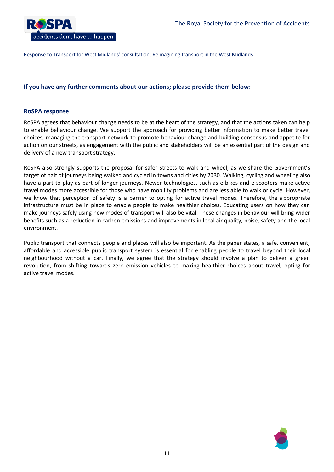

#### **If you have any further comments about our actions; please provide them below:**

#### **RoSPA response**

RoSPA agrees that behaviour change needs to be at the heart of the strategy, and that the actions taken can help to enable behaviour change. We support the approach for providing better information to make better travel choices, managing the transport network to promote behaviour change and building consensus and appetite for action on our streets, as engagement with the public and stakeholders will be an essential part of the design and delivery of a new transport strategy.

RoSPA also strongly supports the proposal for safer streets to walk and wheel, as we share the Government's target of half of journeys being walked and cycled in towns and cities by 2030. Walking, cycling and wheeling also have a part to play as part of longer journeys. Newer technologies, such as e-bikes and e-scooters make active travel modes more accessible for those who have mobility problems and are less able to walk or cycle. However, we know that perception of safety is a barrier to opting for active travel modes. Therefore, the appropriate infrastructure must be in place to enable people to make healthier choices. Educating users on how they can make journeys safely using new modes of transport will also be vital. These changes in behaviour will bring wider benefits such as a reduction in carbon emissions and improvements in local air quality, noise, safety and the local environment.

Public transport that connects people and places will also be important. As the paper states, a safe, convenient, affordable and accessible public transport system is essential for enabling people to travel beyond their local neighbourhood without a car. Finally, we agree that the strategy should involve a plan to deliver a green revolution, from shifting towards zero emission vehicles to making healthier choices about travel, opting for active travel modes.

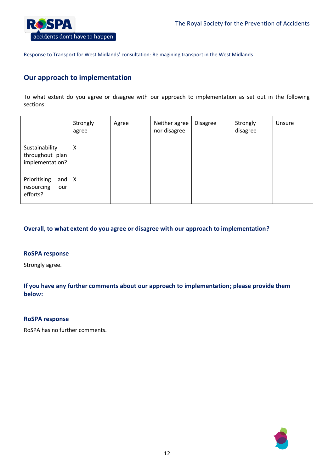

# **Our approach to implementation**

To what extent do you agree or disagree with our approach to implementation as set out in the following sections:

|                                                      | Strongly<br>agree | Agree | Neither agree<br>nor disagree | <b>Disagree</b> | Strongly<br>disagree | Unsure |
|------------------------------------------------------|-------------------|-------|-------------------------------|-----------------|----------------------|--------|
| Sustainability<br>throughout plan<br>implementation? | X                 |       |                               |                 |                      |        |
| Prioritising<br>and<br>resourcing<br>our<br>efforts? | X                 |       |                               |                 |                      |        |

# **Overall, to what extent do you agree or disagree with our approach to implementation?**

#### **RoSPA response**

Strongly agree.

**If you have any further comments about our approach to implementation; please provide them below:**

#### **RoSPA response**

RoSPA has no further comments.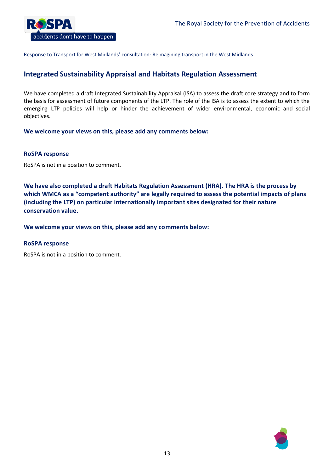

# **Integrated Sustainability Appraisal and Habitats Regulation Assessment**

We have completed a draft Integrated Sustainability Appraisal (ISA) to assess the draft core strategy and to form the basis for assessment of future components of the LTP. The role of the ISA is to assess the extent to which the emerging LTP policies will help or hinder the achievement of wider environmental, economic and social objectives.

**We welcome your views on this, please add any comments below:**

#### **RoSPA response**

RoSPA is not in a position to comment.

**We have also completed a draft Habitats Regulation Assessment (HRA). The HRA is the process by which WMCA as a "competent authority" are legally required to assess the potential impacts of plans (including the LTP) on particular internationally important sites designated for their nature conservation value.**

**We welcome your views on this, please add any comments below:**

#### **RoSPA response**

RoSPA is not in a position to comment.